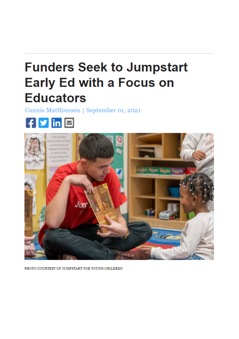## **Funders Seek to Jumpstart Early Ed with a Focus on Educators**

Connie Matthiessen | September 01, 2021





PHOTO COURTESY OF JUMPSTART FOR YOUNG CHILDREN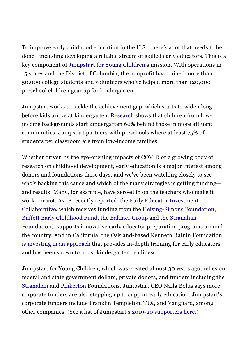To improve early childhood education in the U.S., there's a lot that needs to be done—including developing a reliable stream of skilled early educators. This is a key component of [Jumpstart for Young Children'](https://www.jstart.org/)s mission. With operations in 15 states and the District of Columbia, the nonprofit has trained more than 50,000 college students and volunteers who've helped more than 120,000 preschool children gear up for kindergarten.

Jumpstart works to tackle the achievement gap, which starts to widen long before kids arrive at kindergarten. [Research](https://www.epi.org/publication/books_starting_gate/) shows that children from lowincome backgrounds start kindergarten 60% behind those in more affluent communities. Jumpstart partners with preschools where at least 75% of students per classroom are from low-income families.

Whether driven by the eye-opening impacts of COVID or a growing body of research on childhood development, early education is a major interest among donors and foundations these days, and we've been watching closely to see who's backing this cause and which of the many strategies is getting funding and results. Many, for example, have zeroed in on the teachers who make it work—or not. As IP recently [reported,](https://www.insidephilanthropy.com/home/2021/6/23/why-are-these-funders-teaming-up-to-support-early-educators) the [Early Educator Investment](https://earlyedcollaborative.org/) [Collaborative,](https://earlyedcollaborative.org/) which receives funding from the Heising-Simons Foundation, [Buffett Early Childhood Fund](https://www.insidephilanthropy.com/fundraising-early-childhood/buffett-early-childhood-fund-grants-for-early-childhood-educ.html), the [Ballmer Group](https://www.insidephilanthropy.com/grants-b/ballmer-group) and the [Stranahan](https://www.insidephilanthropy.com/grants-for-k-12-education/stranahan-foundation-grants-for-k-12-education.html) [Foundation](https://www.insidephilanthropy.com/grants-for-k-12-education/stranahan-foundation-grants-for-k-12-education.html)), supports innovative early educator preparation programs around the country. And in California, the Oakland-based Kenneth Rainin Foundation is [investing in an approach](https://www.insidephilanthropy.com/home/2021/5/27/an-education-funder-tackles-the-achievement-gapone-preschooler-at-a-time) that provides in-depth training for early educators and has been shown to boost kindergarten readiness.

Jumpstart for Young Children, which was created almost 30 years ago, relies on federal and state government dollars, private donors, and funders including the [Stranahan](https://www.insidephilanthropy.com/grants-for-k-12-education/stranahan-foundation-grants-for-k-12-education.html) and [Pinkerton](https://www.thepinkertonfoundation.org/) Foundations. Jumpstart CEO Naila Bolus says more corporate funders are also stepping up to support early education. Jumpstart's corporate funders include Franklin Templeton, TJX, and Vanguard, among other companies. (See a list of Jumpstart's 2019-20 supporters here.)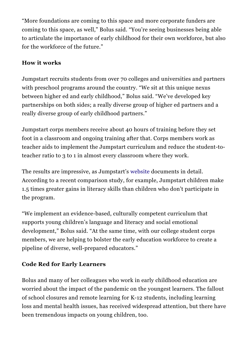"More foundations are coming to this space and more corporate funders are coming to this space, as well," Bolus said. "You're seeing businesses being able to articulate the importance of early childhood for their own workforce, but also for the workforce of the future."

## How it works

Jumpstart recruits students from over 70 colleges and universities and partners with preschool programs around the country. "We sit at this unique nexus between higher ed and early childhood," Bolus said. "We've developed key partnerships on both sides; a really diverse group of higher ed partners and a really diverse group of early childhood partners."

Jumpstart corps members receive about 40 hours of training before they set foot in a classroom and ongoing training after that. Corps members work as teacher aids to implement the Jumpstart curriculum and reduce the student-toteacher ratio to 3 to 1 in almost every classroom where they work.

The results are impressive, as Jumpstart's [website](https://www.jstart.org/impact/results/) documents in detail. According to a recent comparison study, for example, Jumpstart children make 1.5 times greater gains in literacy skills than children who don't participate in the program.

"We implement an evidence-based, culturally competent curriculum that supports young children's language and literacy and social emotional development," Bolus said. "At the same time, with our college student corps members, we are helping to bolster the early education workforce to create a pipeline of diverse, well-prepared educators."

## Code Red for Early Learners

Bolus and many of her colleagues who work in early childhood education are worried about the impact of the pandemic on the youngest learners. The fallout of school closures and remote learning for K12 students, including learning loss and mental health issues, has received widespread attention, but there have been tremendous impacts on young children, too.